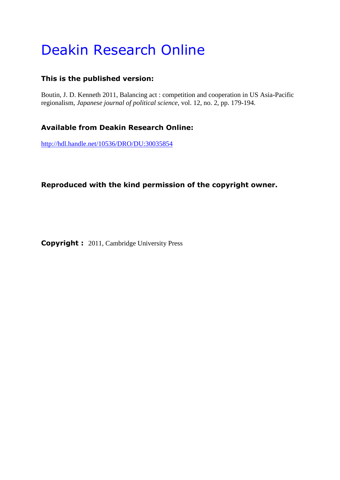# Deakin Research Online

# **This is the published version:**

Boutin, J. D. Kenneth 2011, Balancing act : competition and cooperation in US Asia-Pacific regionalism*, Japanese journal of political science*, vol. 12, no. 2, pp. 179-194.

# **Available from Deakin Research Online:**

<http://hdl.handle.net/10536/DRO/DU:30035854>

# **Reproduced with the kind permission of the copyright owner.**

**Copyright :** 2011, Cambridge University Press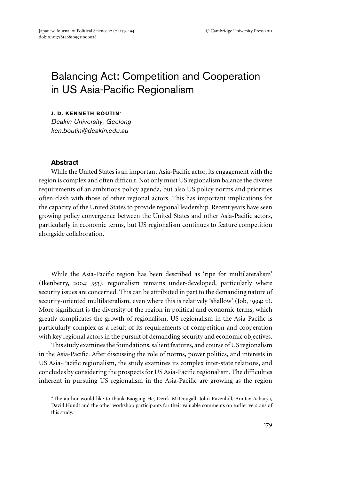# Balancing Act: Competition and Cooperation in US Asia-Pacific Regionalism

## **J. D. KENNETH BOUTIN**∗

*Deakin University, Geelong ken.boutin@deakin.edu.au*

# **Abstract**

While the United States is an important Asia-Pacific actor, its engagement with the region is complex and often difficult. Not only must US regionalism balance the diverse requirements of an ambitious policy agenda, but also US policy norms and priorities often clash with those of other regional actors. This has important implications for the capacity of the United States to provide regional leadership. Recent years have seen growing policy convergence between the United States and other Asia-Pacific actors, particularly in economic terms, but US regionalism continues to feature competition alongside collaboration.

While the Asia-Pacific region has been described as 'ripe for multilateralism' (Ikenberry, 2004: 353), regionalism remains under-developed, particularly where security issues are concerned. This can be attributed in part to the demanding nature of security-oriented multilateralism, even where this is relatively 'shallow' (Job, 1994: 2). More significant is the diversity of the region in political and economic terms, which greatly complicates the growth of regionalism. US regionalism in the Asia-Pacific is particularly complex as a result of its requirements of competition and cooperation with key regional actors in the pursuit of demanding security and economic objectives.

This study examines the foundations, salient features, and course of US regionalism in the Asia-Pacific. After discussing the role of norms, power politics, and interests in US Asia-Pacific regionalism, the study examines its complex inter-state relations, and concludes by considering the prospects for US Asia-Pacific regionalism. The difficulties inherent in pursuing US regionalism in the Asia-Pacific are growing as the region

<sup>∗</sup>The author would like to thank Baogang He, Derek McDougall, John Ravenhill, Amitav Acharya, David Hundt and the other workshop participants for their valuable comments on earlier versions of this study.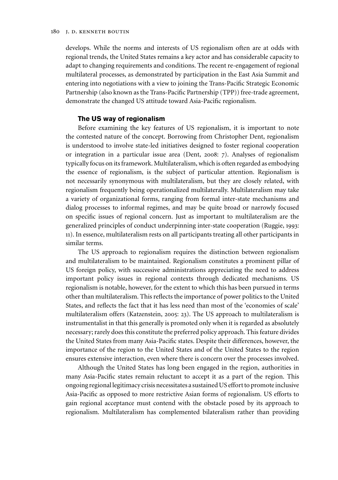develops. While the norms and interests of US regionalism often are at odds with regional trends, the United States remains a key actor and has considerable capacity to adapt to changing requirements and conditions. The recent re-engagement of regional multilateral processes, as demonstrated by participation in the East Asia Summit and entering into negotiations with a view to joining the Trans-Pacific Strategic Economic Partnership (also known as the Trans-Pacific Partnership (TPP)) free-trade agreement, demonstrate the changed US attitude toward Asia-Pacific regionalism.

#### **The US way of regionalism**

Before examining the key features of US regionalism, it is important to note the contested nature of the concept. Borrowing from Christopher Dent, regionalism is understood to involve state-led initiatives designed to foster regional cooperation or integration in a particular issue area (Dent, 2008: 7). Analyses of regionalism typically focus on its framework. Multilateralism, which is often regarded as embodying the essence of regionalism, is the subject of particular attention. Regionalism is not necessarily synonymous with multilateralism, but they are closely related, with regionalism frequently being operationalized multilaterally. Multilateralism may take a variety of organizational forms, ranging from formal inter-state mechanisms and dialog processes to informal regimes, and may be quite broad or narrowly focused on specific issues of regional concern. Just as important to multilateralism are the generalized principles of conduct underpinning inter-state cooperation (Ruggie, 1993: 11). In essence, multilateralism rests on all participants treating all other participants in similar terms.

The US approach to regionalism requires the distinction between regionalism and multilateralism to be maintained. Regionalism constitutes a prominent pillar of US foreign policy, with successive administrations appreciating the need to address important policy issues in regional contexts through dedicated mechanisms. US regionalism is notable, however, for the extent to which this has been pursued in terms other than multilateralism. This reflects the importance of power politics to the United States, and reflects the fact that it has less need than most of the 'economies of scale' multilateralism offers (Katzenstein, 2005: 23). The US approach to multilateralism is instrumentalist in that this generally is promoted only when it is regarded as absolutely necessary; rarely does this constitute the preferred policy approach. This feature divides the United States from many Asia-Pacific states. Despite their differences, however, the importance of the region to the United States and of the United States to the region ensures extensive interaction, even where there is concern over the processes involved.

Although the United States has long been engaged in the region, authorities in many Asia-Pacific states remain reluctant to accept it as a part of the region. This ongoing regional legitimacy crisis necessitates a sustained US effort to promote inclusive Asia-Pacific as opposed to more restrictive Asian forms of regionalism. US efforts to gain regional acceptance must contend with the obstacle posed by its approach to regionalism. Multilateralism has complemented bilateralism rather than providing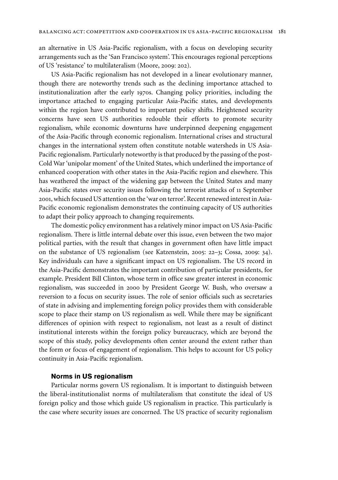an alternative in US Asia-Pacific regionalism, with a focus on developing security arrangements such as the 'San Francisco system'. This encourages regional perceptions of US 'resistance' to multilateralism (Moore, 2009: 202).

US Asia-Pacific regionalism has not developed in a linear evolutionary manner, though there are noteworthy trends such as the declining importance attached to institutionalization after the early 1970s. Changing policy priorities, including the importance attached to engaging particular Asia-Pacific states, and developments within the region have contributed to important policy shifts. Heightened security concerns have seen US authorities redouble their efforts to promote security regionalism, while economic downturns have underpinned deepening engagement of the Asia-Pacific through economic regionalism. International crises and structural changes in the international system often constitute notable watersheds in US Asia-Pacific regionalism. Particularly noteworthy is that produced by the passing of the post-Cold War 'unipolar moment' of the United States, which underlined the importance of enhanced cooperation with other states in the Asia-Pacific region and elsewhere. This has weathered the impact of the widening gap between the United States and many Asia-Pacific states over security issues following the terrorist attacks of 11 September 2001, which focused US attention on the 'war on terror'. Recent renewed interest in Asia-Pacific economic regionalism demonstrates the continuing capacity of US authorities to adapt their policy approach to changing requirements.

The domestic policy environment has a relatively minor impact on US Asia-Pacific regionalism. There is little internal debate over this issue, even between the two major political parties, with the result that changes in government often have little impact on the substance of US regionalism (see Katzenstein, 2005: 22–3; Cossa, 2009: 34). Key individuals can have a significant impact on US regionalism. The US record in the Asia-Pacific demonstrates the important contribution of particular presidents, for example. President Bill Clinton, whose term in office saw greater interest in economic regionalism, was succeeded in 2000 by President George W. Bush, who oversaw a reversion to a focus on security issues. The role of senior officials such as secretaries of state in advising and implementing foreign policy provides them with considerable scope to place their stamp on US regionalism as well. While there may be significant differences of opinion with respect to regionalism, not least as a result of distinct institutional interests within the foreign policy bureaucracy, which are beyond the scope of this study, policy developments often center around the extent rather than the form or focus of engagement of regionalism. This helps to account for US policy continuity in Asia-Pacific regionalism.

## **Norms in US regionalism**

Particular norms govern US regionalism. It is important to distinguish between the liberal-institutionalist norms of multilateralism that constitute the ideal of US foreign policy and those which guide US regionalism in practice. This particularly is the case where security issues are concerned. The US practice of security regionalism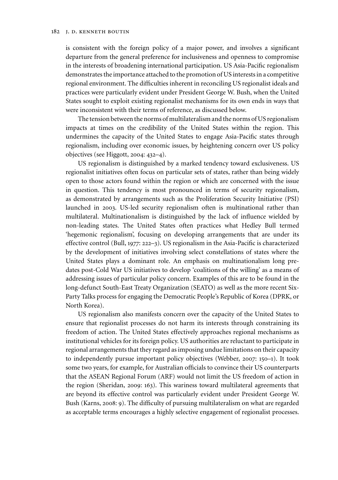is consistent with the foreign policy of a major power, and involves a significant departure from the general preference for inclusiveness and openness to compromise in the interests of broadening international participation. US Asia-Pacific regionalism demonstrates the importance attached to the promotion of US interests in a competitive regional environment. The difficulties inherent in reconciling US regionalist ideals and practices were particularly evident under President George W. Bush, when the United States sought to exploit existing regionalist mechanisms for its own ends in ways that were inconsistent with their terms of reference, as discussed below.

The tension between the norms of multilateralism and the norms of US regionalism impacts at times on the credibility of the United States within the region. This undermines the capacity of the United States to engage Asia-Pacific states through regionalism, including over economic issues, by heightening concern over US policy objectives (see Higgott, 2004: 432–4).

US regionalism is distinguished by a marked tendency toward exclusiveness. US regionalist initiatives often focus on particular sets of states, rather than being widely open to those actors found within the region or which are concerned with the issue in question. This tendency is most pronounced in terms of security regionalism, as demonstrated by arrangements such as the Proliferation Security Initiative (PSI) launched in 2003. US-led security regionalism often is multinational rather than multilateral. Multinationalism is distinguished by the lack of influence wielded by non-leading states. The United States often practices what Hedley Bull termed 'hegemonic regionalism', focusing on developing arrangements that are under its effective control (Bull, 1977: 222–3). US regionalism in the Asia-Pacific is characterized by the development of initiatives involving select constellations of states where the United States plays a dominant role. An emphasis on multinationalism long predates post-Cold War US initiatives to develop 'coalitions of the willing' as a means of addressing issues of particular policy concern. Examples of this are to be found in the long-defunct South-East Treaty Organization (SEATO) as well as the more recent Six-Party Talks process for engaging the Democratic People's Republic of Korea (DPRK, or North Korea).

US regionalism also manifests concern over the capacity of the United States to ensure that regionalist processes do not harm its interests through constraining its freedom of action. The United States effectively approaches regional mechanisms as institutional vehicles for its foreign policy. US authorities are reluctant to participate in regional arrangements that they regard as imposing undue limitations on their capacity to independently pursue important policy objectives (Webber, 2007: 150–1). It took some two years, for example, for Australian officials to convince their US counterparts that the ASEAN Regional Forum (ARF) would not limit the US freedom of action in the region (Sheridan, 2009: 163). This wariness toward multilateral agreements that are beyond its effective control was particularly evident under President George W. Bush (Karns, 2008: 9). The difficulty of pursuing multilateralism on what are regarded as acceptable terms encourages a highly selective engagement of regionalist processes.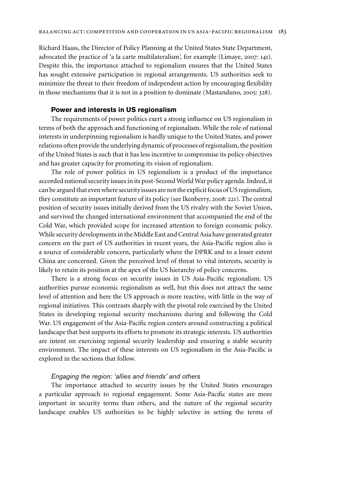Richard Haass, the Director of Policy Planning at the United States State Department, advocated the practice of 'a la carte multilateralism', for example (Limaye, 2007: 141). Despite this, the importance attached to regionalism ensures that the United States has sought extensive participation in regional arrangements. US authorities seek to minimize the threat to their freedom of independent action by encouraging flexibility in those mechanisms that it is not in a position to dominate (Mastanduno, 2005: 328).

# **Power and interests in US regionalism**

The requirements of power politics exert a strong influence on US regionalism in terms of both the approach and functioning of regionalism. While the role of national interests in underpinning regionalism is hardly unique to the United States, and power relations often provide the underlying dynamic of processes of regionalism, the position of the United States is such that it has less incentive to compromise its policy objectives and has greater capacity for promoting its vision of regionalism.

The role of power politics in US regionalism is a product of the importance accorded national security issues in its post-Second World War policy agenda. Indeed, it can be argued that even where security issues are not the explicit focus of US regionalism, they constitute an important feature of its policy (see Ikenberry, 2008: 221). The central position of security issues initially derived from the US rivalry with the Soviet Union, and survived the changed international environment that accompanied the end of the Cold War, which provided scope for increased attention to foreign economic policy. While security developments in the Middle East and Central Asia have generated greater concern on the part of US authorities in recent years, the Asia-Pacific region also is a source of considerable concern, particularly where the DPRK and to a lesser extent China are concerned. Given the perceived level of threat to vital interests, security is likely to retain its position at the apex of the US hierarchy of policy concerns.

There is a strong focus on security issues in US Asia-Pacific regionalism. US authorities pursue economic regionalism as well, but this does not attract the same level of attention and here the US approach is more reactive, with little in the way of regional initiatives. This contrasts sharply with the pivotal role exercised by the United States in developing regional security mechanisms during and following the Cold War. US engagement of the Asia-Pacific region centers around constructing a political landscape that best supports its efforts to promote its strategic interests. US authorities are intent on exercising regional security leadership and ensuring a stable security environment. The impact of these interests on US regionalism in the Asia-Pacific is explored in the sections that follow.

## *Engaging the region: 'allies and friends' and others*

The importance attached to security issues by the United States encourages a particular approach to regional engagement. Some Asia-Pacific states are more important in security terms than others, and the nature of the regional security landscape enables US authorities to be highly selective in setting the terms of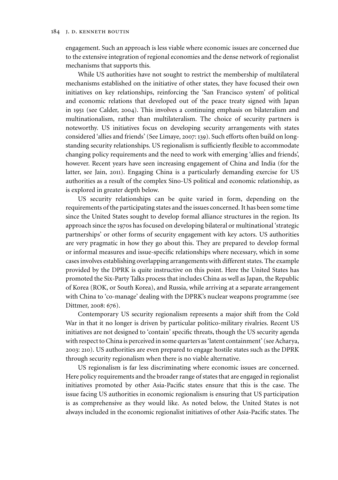engagement. Such an approach is less viable where economic issues are concerned due to the extensive integration of regional economies and the dense network of regionalist mechanisms that supports this.

While US authorities have not sought to restrict the membership of multilateral mechanisms established on the initiative of other states, they have focused their own initiatives on key relationships, reinforcing the 'San Francisco system' of political and economic relations that developed out of the peace treaty signed with Japan in 1951 (see Calder, 2004). This involves a continuing emphasis on bilateralism and multinationalism, rather than multilateralism. The choice of security partners is noteworthy. US initiatives focus on developing security arrangements with states considered 'allies and friends' (See Limaye, 2007: 139). Such efforts often build on longstanding security relationships. US regionalism is sufficiently flexible to accommodate changing policy requirements and the need to work with emerging 'allies and friends', however. Recent years have seen increasing engagement of China and India (for the latter, see Jain, 2011). Engaging China is a particularly demanding exercise for US authorities as a result of the complex Sino-US political and economic relationship, as is explored in greater depth below.

US security relationships can be quite varied in form, depending on the requirements of the participating states and the issues concerned. It has been some time since the United States sought to develop formal alliance structures in the region. Its approach since the 1970s has focused on developing bilateral or multinational 'strategic partnerships' or other forms of security engagement with key actors. US authorities are very pragmatic in how they go about this. They are prepared to develop formal or informal measures and issue-specific relationships where necessary, which in some cases involves establishing overlapping arrangements with different states. The example provided by the DPRK is quite instructive on this point. Here the United States has promoted the Six-Party Talks process that includes China as well as Japan, the Republic of Korea (ROK, or South Korea), and Russia, while arriving at a separate arrangement with China to 'co-manage' dealing with the DPRK's nuclear weapons programme (see Dittmer, 2008: 676).

Contemporary US security regionalism represents a major shift from the Cold War in that it no longer is driven by particular politico-military rivalries. Recent US initiatives are not designed to 'contain' specific threats, though the US security agenda with respect to China is perceived in some quarters as 'latent containment' (see Acharya, 2003: 210). US authorities are even prepared to engage hostile states such as the DPRK through security regionalism when there is no viable alternative.

US regionalism is far less discriminating where economic issues are concerned. Here policy requirements and the broader range of states that are engaged in regionalist initiatives promoted by other Asia-Pacific states ensure that this is the case. The issue facing US authorities in economic regionalism is ensuring that US participation is as comprehensive as they would like. As noted below, the United States is not always included in the economic regionalist initiatives of other Asia-Pacific states. The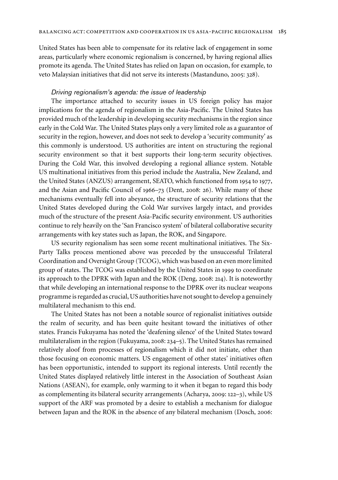United States has been able to compensate for its relative lack of engagement in some areas, particularly where economic regionalism is concerned, by having regional allies promote its agenda. The United States has relied on Japan on occasion, for example, to veto Malaysian initiatives that did not serve its interests (Mastanduno, 2005: 328).

#### *Driving regionalism's agenda: the issue of leadership*

The importance attached to security issues in US foreign policy has major implications for the agenda of regionalism in the Asia-Pacific. The United States has provided much of the leadership in developing security mechanisms in the region since early in the Cold War. The United States plays only a very limited role as a guarantor of security in the region, however, and does not seek to develop a 'security community' as this commonly is understood. US authorities are intent on structuring the regional security environment so that it best supports their long-term security objectives. During the Cold War, this involved developing a regional alliance system. Notable US multinational initiatives from this period include the Australia, New Zealand, and the United States (ANZUS) arrangement, SEATO, which functioned from 1954 to 1977, and the Asian and Pacific Council of 1966–73 (Dent, 2008: 26). While many of these mechanisms eventually fell into abeyance, the structure of security relations that the United States developed during the Cold War survives largely intact, and provides much of the structure of the present Asia-Pacific security environment. US authorities continue to rely heavily on the 'San Francisco system' of bilateral collaborative security arrangements with key states such as Japan, the ROK, and Singapore.

US security regionalism has seen some recent multinational initiatives. The Six-Party Talks process mentioned above was preceded by the unsuccessful Trilateral Coordination and Oversight Group (TCOG), which was based on an even more limited group of states. The TCOG was established by the United States in 1999 to coordinate its approach to the DPRK with Japan and the ROK (Deng, 2008: 214). It is noteworthy that while developing an international response to the DPRK over its nuclear weapons programme is regarded as crucial, US authorities have not sought to develop a genuinely multilateral mechanism to this end.

The United States has not been a notable source of regionalist initiatives outside the realm of security, and has been quite hesitant toward the initiatives of other states. Francis Fukuyama has noted the 'deafening silence' of the United States toward multilateralism in the region (Fukuyama, 2008: 234–5). The United States has remained relatively aloof from processes of regionalism which it did not initiate, other than those focusing on economic matters. US engagement of other states' initiatives often has been opportunistic, intended to support its regional interests. Until recently the United States displayed relatively little interest in the Association of Southeast Asian Nations (ASEAN), for example, only warming to it when it began to regard this body as complementing its bilateral security arrangements (Acharya, 2009: 122–3), while US support of the ARF was promoted by a desire to establish a mechanism for dialogue between Japan and the ROK in the absence of any bilateral mechanism (Dosch, 2006: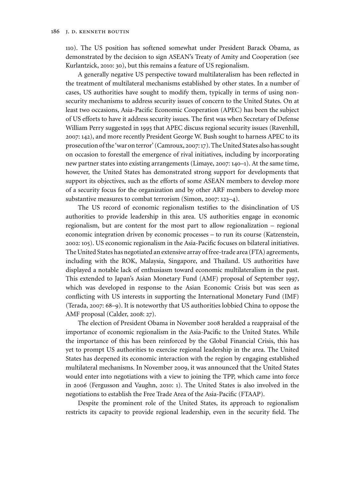110). The US position has softened somewhat under President Barack Obama, as demonstrated by the decision to sign ASEAN's Treaty of Amity and Cooperation (see Kurlantzick, 2010: 30), but this remains a feature of US regionalism.

A generally negative US perspective toward multilateralism has been reflected in the treatment of multilateral mechanisms established by other states. In a number of cases, US authorities have sought to modify them, typically in terms of using nonsecurity mechanisms to address security issues of concern to the United States. On at least two occasions, Asia-Pacific Economic Cooperation (APEC) has been the subject of US efforts to have it address security issues. The first was when Secretary of Defense William Perry suggested in 1995 that APEC discuss regional security issues (Ravenhill, 2007: 142), and more recently President George W. Bush sought to harness APEC to its prosecution of the 'war on terror' (Camroux, 2007:17). The United States also has sought on occasion to forestall the emergence of rival initiatives, including by incorporating new partner states into existing arrangements (Limaye, 2007: 140–1). At the same time, however, the United States has demonstrated strong support for developments that support its objectives, such as the efforts of some ASEAN members to develop more of a security focus for the organization and by other ARF members to develop more substantive measures to combat terrorism (Simon, 2007: 123–4).

The US record of economic regionalism testifies to the disinclination of US authorities to provide leadership in this area. US authorities engage in economic regionalism, but are content for the most part to allow regionalization – regional economic integration driven by economic processes – to run its course (Katzenstein, 2002: 105). US economic regionalism in the Asia-Pacific focuses on bilateral initiatives. The United States has negotiated an extensive array of free-trade area (FTA) agreements, including with the ROK, Malaysia, Singapore, and Thailand. US authorities have displayed a notable lack of enthusiasm toward economic multilateralism in the past. This extended to Japan's Asian Monetary Fund (AMF) proposal of September 1997, which was developed in response to the Asian Economic Crisis but was seen as conflicting with US interests in supporting the International Monetary Fund (IMF) (Terada, 2007: 68–9). It is noteworthy that US authorities lobbied China to oppose the AMF proposal (Calder, 2008: 27).

The election of President Obama in November 2008 heralded a reappraisal of the importance of economic regionalism in the Asia-Pacific to the United States. While the importance of this has been reinforced by the Global Financial Crisis, this has yet to prompt US authorities to exercise regional leadership in the area. The United States has deepened its economic interaction with the region by engaging established multilateral mechanisms. In November 2009, it was announced that the United States would enter into negotiations with a view to joining the TPP, which came into force in 2006 (Fergusson and Vaughn, 2010: 1). The United States is also involved in the negotiations to establish the Free Trade Area of the Asia-Pacific (FTAAP).

Despite the prominent role of the United States, its approach to regionalism restricts its capacity to provide regional leadership, even in the security field. The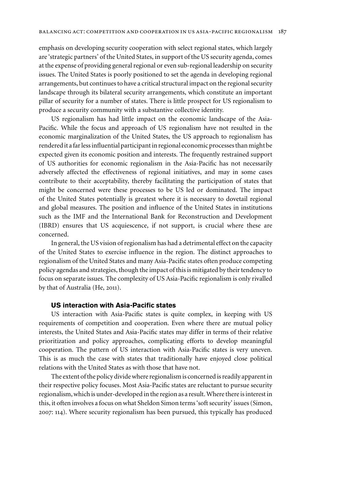emphasis on developing security cooperation with select regional states, which largely are 'strategic partners' of the United States, in support of the US security agenda, comes at the expense of providing general regional or even sub-regional leadership on security issues. The United States is poorly positioned to set the agenda in developing regional arrangements, but continues to have a critical structural impact on the regional security landscape through its bilateral security arrangements, which constitute an important pillar of security for a number of states. There is little prospect for US regionalism to produce a security community with a substantive collective identity.

US regionalism has had little impact on the economic landscape of the Asia-Pacific. While the focus and approach of US regionalism have not resulted in the economic marginalization of the United States, the US approach to regionalism has rendered it a far less influential participant in regional economic processes than might be expected given its economic position and interests. The frequently restrained support of US authorities for economic regionalism in the Asia-Pacific has not necessarily adversely affected the effectiveness of regional initiatives, and may in some cases contribute to their acceptability, thereby facilitating the participation of states that might be concerned were these processes to be US led or dominated. The impact of the United States potentially is greatest where it is necessary to dovetail regional and global measures. The position and influence of the United States in institutions such as the IMF and the International Bank for Reconstruction and Development (IBRD) ensures that US acquiescence, if not support, is crucial where these are concerned.

In general, the US vision of regionalism has had a detrimental effect on the capacity of the United States to exercise influence in the region. The distinct approaches to regionalism of the United States and many Asia-Pacific states often produce competing policy agendas and strategies, though the impact of this is mitigated by their tendency to focus on separate issues. The complexity of US Asia-Pacific regionalism is only rivalled by that of Australia (He, 2011).

## **US interaction with Asia-Pacific states**

US interaction with Asia-Pacific states is quite complex, in keeping with US requirements of competition and cooperation. Even where there are mutual policy interests, the United States and Asia-Pacific states may differ in terms of their relative prioritization and policy approaches, complicating efforts to develop meaningful cooperation. The pattern of US interaction with Asia-Pacific states is very uneven. This is as much the case with states that traditionally have enjoyed close political relations with the United States as with those that have not.

The extent of the policy divide where regionalism is concerned is readily apparent in their respective policy focuses. Most Asia-Pacific states are reluctant to pursue security regionalism, which is under-developed in the region as a result. Where there is interest in this, it often involves a focus on what Sheldon Simon terms 'soft security' issues (Simon, 2007: 114). Where security regionalism has been pursued, this typically has produced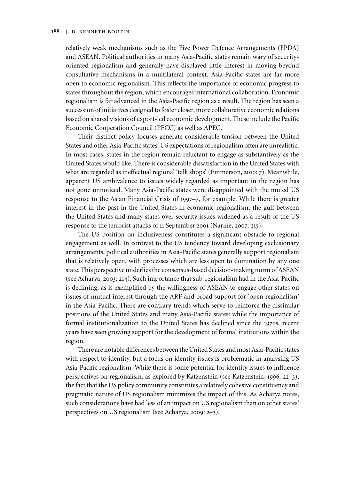relatively weak mechanisms such as the Five Power Defence Arrangements (FPDA) and ASEAN. Political authorities in many Asia-Pacific states remain wary of securityoriented regionalism and generally have displayed little interest in moving beyond consultative mechanisms in a multilateral context. Asia-Pacific states are far more open to economic regionalism. This reflects the importance of economic progress to states throughout the region, which encourages international collaboration. Economic regionalism is far advanced in the Asia-Pacific region as a result. The region has seen a succession of initiatives designed to foster closer, more collaborative economic relations based on shared visions of export-led economic development. These include the Pacific Economic Cooperation Council (PECC) as well as APEC.

Their distinct policy focuses generate considerable tension between the United States and other Asia-Pacific states. US expectations of regionalism often are unrealistic. In most cases, states in the region remain reluctant to engage as substantively as the United States would like. There is considerable dissatisfaction in the United States with what are regarded as ineffectual regional 'talk shops' (Emmerson, 2010: 7). Meanwhile, apparent US ambivalence to issues widely regarded as important in the region has not gone unnoticed. Many Asia-Pacific states were disappointed with the muted US response to the Asian Financial Crisis of 1997–7, for example. While there is greater interest in the past in the United States in economic regionalism, the gulf between the United States and many states over security issues widened as a result of the US response to the terrorist attacks of 11 September 2001 (Narine, 2007: 215).

The US position on inclusiveness constitutes a significant obstacle to regional engagement as well. In contrast to the US tendency toward developing exclusionary arrangements, political authorities in Asia-Pacific states generally support regionalism that is relatively open, with processes which are less open to domination by any one state. This perspective underlies the consensus-based decision-making norm of ASEAN (see Acharya, 2003: 214). Such importance that sub-regionalism had in the Asia-Pacific is declining, as is exemplified by the willingness of ASEAN to engage other states on issues of mutual interest through the ARF and broad support for 'open regionalism' in the Asia-Pacific. There are contrary trends which serve to reinforce the dissimilar positions of the United States and many Asia-Pacific states: while the importance of formal institutionalization to the United States has declined since the 1970s, recent years have seen growing support for the development of formal institutions within the region.

There are notable differences between the United States and most Asia-Pacific states with respect to identity, but a focus on identity issues is problematic in analysing US Asia-Pacific regionalism. While there is some potential for identity issues to influence perspectives on regionalism, as explored by Katzenstein (see Katzenstein, 1996: 22–3), the fact that the US policy community constitutes a relatively cohesive constituency and pragmatic nature of US regionalism minimizes the impact of this. As Acharya notes, such considerations have had less of an impact on US regionalism than on other states' perspectives on US regionalism (see Acharya, 2009: 2–3).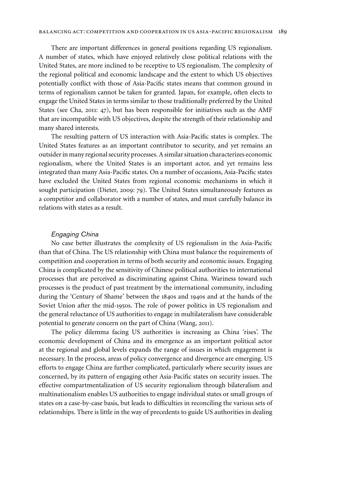There are important differences in general positions regarding US regionalism. A number of states, which have enjoyed relatively close political relations with the United States, are more inclined to be receptive to US regionalism. The complexity of the regional political and economic landscape and the extent to which US objectives potentially conflict with those of Asia-Pacific states means that common ground in terms of regionalism cannot be taken for granted. Japan, for example, often elects to engage the United States in terms similar to those traditionally preferred by the United States (see Cha, 2011: 47), but has been responsible for initiatives such as the AMF that are incompatible with US objectives, despite the strength of their relationship and many shared interests.

The resulting pattern of US interaction with Asia-Pacific states is complex. The United States features as an important contributor to security, and yet remains an outsider in many regional security processes. A similar situation characterizes economic regionalism, where the United States is an important actor, and yet remains less integrated than many Asia-Pacific states. On a number of occasions, Asia-Pacific states have excluded the United States from regional economic mechanisms in which it sought participation (Dieter, 2009: 79). The United States simultaneously features as a competitor and collaborator with a number of states, and must carefully balance its relations with states as a result.

#### *Engaging China*

No case better illustrates the complexity of US regionalism in the Asia-Pacific than that of China. The US relationship with China must balance the requirements of competition and cooperation in terms of both security and economic issues. Engaging China is complicated by the sensitivity of Chinese political authorities to international processes that are perceived as discriminating against China. Wariness toward such processes is the product of past treatment by the international community, including during the 'Century of Shame' between the 1840s and 1940s and at the hands of the Soviet Union after the mid-1950s. The role of power politics in US regionalism and the general reluctance of US authorities to engage in multilateralism have considerable potential to generate concern on the part of China (Wang, 2011).

The policy dilemma facing US authorities is increasing as China 'rises'. The economic development of China and its emergence as an important political actor at the regional and global levels expands the range of issues in which engagement is necessary. In the process, areas of policy convergence and divergence are emerging. US efforts to engage China are further complicated, particularly where security issues are concerned, by its pattern of engaging other Asia-Pacific states on security issues. The effective compartmentalization of US security regionalism through bilateralism and multinationalism enables US authorities to engage individual states or small groups of states on a case-by-case basis, but leads to difficulties in reconciling the various sets of relationships. There is little in the way of precedents to guide US authorities in dealing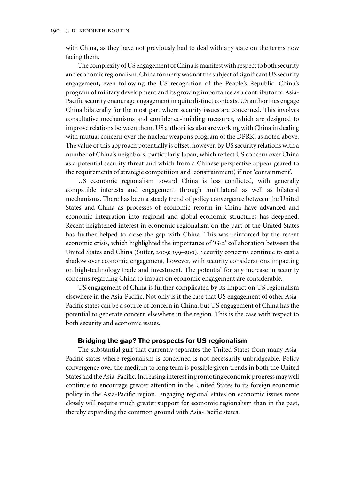with China, as they have not previously had to deal with any state on the terms now facing them.

The complexity of US engagement of China is manifest with respect to both security and economic regionalism. China formerly was not the subject of significant US security engagement, even following the US recognition of the People's Republic. China's program of military development and its growing importance as a contributor to Asia-Pacific security encourage engagement in quite distinct contexts. US authorities engage China bilaterally for the most part where security issues are concerned. This involves consultative mechanisms and confidence-building measures, which are designed to improve relations between them. US authorities also are working with China in dealing with mutual concern over the nuclear weapons program of the DPRK, as noted above. The value of this approach potentially is offset, however, by US security relations with a number of China's neighbors, particularly Japan, which reflect US concern over China as a potential security threat and which from a Chinese perspective appear geared to the requirements of strategic competition and 'constrainment', if not 'containment'.

US economic regionalism toward China is less conflicted, with generally compatible interests and engagement through multilateral as well as bilateral mechanisms. There has been a steady trend of policy convergence between the United States and China as processes of economic reform in China have advanced and economic integration into regional and global economic structures has deepened. Recent heightened interest in economic regionalism on the part of the United States has further helped to close the gap with China. This was reinforced by the recent economic crisis, which highlighted the importance of 'G-2' collaboration between the United States and China (Sutter, 2009: 199–200). Security concerns continue to cast a shadow over economic engagement, however, with security considerations impacting on high-technology trade and investment. The potential for any increase in security concerns regarding China to impact on economic engagement are considerable.

US engagement of China is further complicated by its impact on US regionalism elsewhere in the Asia-Pacific. Not only is it the case that US engagement of other Asia-Pacific states can be a source of concern in China, but US engagement of China has the potential to generate concern elsewhere in the region. This is the case with respect to both security and economic issues.

## **Bridging the gap? The prospects for US regionalism**

The substantial gulf that currently separates the United States from many Asia-Pacific states where regionalism is concerned is not necessarily unbridgeable. Policy convergence over the medium to long term is possible given trends in both the United States and the Asia-Pacific. Increasing interest in promoting economic progress may well continue to encourage greater attention in the United States to its foreign economic policy in the Asia-Pacific region. Engaging regional states on economic issues more closely will require much greater support for economic regionalism than in the past, thereby expanding the common ground with Asia-Pacific states.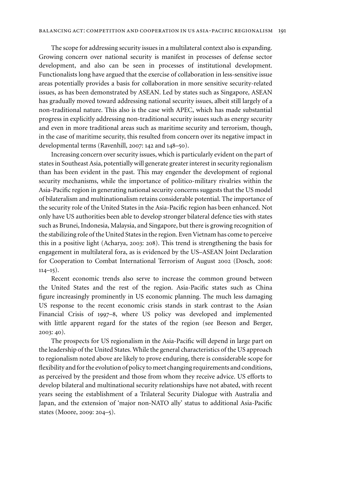The scope for addressing security issues in a multilateral context also is expanding. Growing concern over national security is manifest in processes of defense sector development, and also can be seen in processes of institutional development. Functionalists long have argued that the exercise of collaboration in less-sensitive issue areas potentially provides a basis for collaboration in more sensitive security-related issues, as has been demonstrated by ASEAN. Led by states such as Singapore, ASEAN has gradually moved toward addressing national security issues, albeit still largely of a non-traditional nature. This also is the case with APEC, which has made substantial progress in explicitly addressing non-traditional security issues such as energy security and even in more traditional areas such as maritime security and terrorism, though, in the case of maritime security, this resulted from concern over its negative impact in developmental terms (Ravenhill, 2007: 142 and 148–50).

Increasing concern over security issues, which is particularly evident on the part of states in Southeast Asia, potentially will generate greater interest in security regionalism than has been evident in the past. This may engender the development of regional security mechanisms, while the importance of politico-military rivalries within the Asia-Pacific region in generating national security concerns suggests that the US model of bilateralism and multinationalism retains considerable potential. The importance of the security role of the United States in the Asia-Pacific region has been enhanced. Not only have US authorities been able to develop stronger bilateral defence ties with states such as Brunei, Indonesia, Malaysia, and Singapore, but there is growing recognition of the stabilizing role of the United States in the region. Even Vietnam has come to perceive this in a positive light (Acharya, 2003: 208). This trend is strengthening the basis for engagement in multilateral fora, as is evidenced by the US–ASEAN Joint Declaration for Cooperation to Combat International Terrorism of August 2002 (Dosch, 2006:  $114-15$ ).

Recent economic trends also serve to increase the common ground between the United States and the rest of the region. Asia-Pacific states such as China figure increasingly prominently in US economic planning. The much less damaging US response to the recent economic crisis stands in stark contrast to the Asian Financial Crisis of 1997–8, where US policy was developed and implemented with little apparent regard for the states of the region (see Beeson and Berger, 2003: 40).

The prospects for US regionalism in the Asia-Pacific will depend in large part on the leadership of the United States. While the general characteristics of the US approach to regionalism noted above are likely to prove enduring, there is considerable scope for flexibility and for the evolution of policy to meet changing requirements and conditions, as perceived by the president and those from whom they receive advice. US efforts to develop bilateral and multinational security relationships have not abated, with recent years seeing the establishment of a Trilateral Security Dialogue with Australia and Japan, and the extension of 'major non-NATO ally' status to additional Asia-Pacific states (Moore, 2009: 204–5).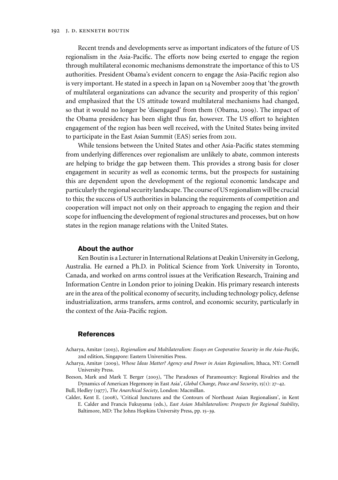Recent trends and developments serve as important indicators of the future of US regionalism in the Asia-Pacific. The efforts now being exerted to engage the region through multilateral economic mechanisms demonstrate the importance of this to US authorities. President Obama's evident concern to engage the Asia-Pacific region also is very important. He stated in a speech in Japan on 14 November 2009 that 'the growth of multilateral organizations can advance the security and prosperity of this region' and emphasized that the US attitude toward multilateral mechanisms had changed, so that it would no longer be 'disengaged' from them (Obama, 2009). The impact of the Obama presidency has been slight thus far, however. The US effort to heighten engagement of the region has been well received, with the United States being invited to participate in the East Asian Summit (EAS) series from 2011.

While tensions between the United States and other Asia-Pacific states stemming from underlying differences over regionalism are unlikely to abate, common interests are helping to bridge the gap between them. This provides a strong basis for closer engagement in security as well as economic terms, but the prospects for sustaining this are dependent upon the development of the regional economic landscape and particularly the regional security landscape. The course of US regionalism will be crucial to this; the success of US authorities in balancing the requirements of competition and cooperation will impact not only on their approach to engaging the region and their scope for influencing the development of regional structures and processes, but on how states in the region manage relations with the United States.

## **About the author**

Ken Boutin is a Lecturer in International Relations at Deakin University in Geelong, Australia. He earned a Ph.D. in Political Science from York University in Toronto, Canada, and worked on arms control issues at the Verification Research, Training and Information Centre in London prior to joining Deakin. His primary research interests are in the area of the political economy of security, including technology policy, defense industrialization, arms transfers, arms control, and economic security, particularly in the context of the Asia-Pacific region.

#### **References**

- Acharya, Amitav (2003), *Regionalism and Multilateralism: Essays on Cooperative Security in the Asia-Pacific*, 2nd edition, Singapore: Eastern Universities Press.
- Acharya, Amitav (2009), *Whose Ideas Matter? Agency and Power in Asian Regionalism*, Ithaca, NY: Cornell University Press.
- Beeson, Mark and Mark T. Berger (2003), 'The Paradoxes of Paramountcy: Regional Rivalries and the Dynamics of American Hegemony in East Asia', *Global Change, Peace and Security*, 15(1): 27–42.

Bull, Hedley (1977), *The Anarchical Society*, London: Macmillan.

Calder, Kent E. (2008), 'Critical Junctures and the Contours of Northeast Asian Regionalism', in Kent E. Calder and Francis Fukuyama (eds.), *East Asian Multilateralism: Prospects for Regional Stability*, Baltimore, MD: The Johns Hopkins University Press, pp. 15–39.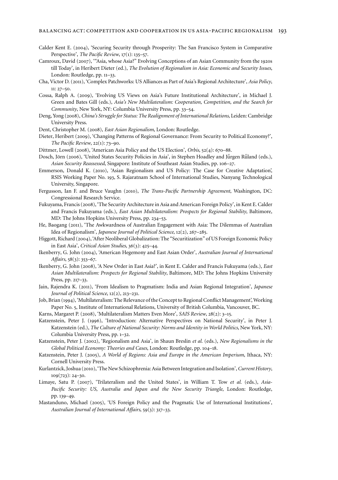- Calder Kent E. (2004), 'Securing Security through Prosperity: The San Francisco System in Comparative Perspective', *The Pacific Review*, 17(1): 135–57.
- Camroux, David (2007), '"Asia, whose Asia?" Evolving Conceptions of an Asian Community from the 1920s till Today', in Heribert Dieter (ed.), *The Evolution of Regionalism in Asia: Economic and Security Issues*, London: Routledge, pp. 11–33.
- Cha, Victor D. (2011), 'Complex Patchworks: US Alliances as Part of Asia's Regional Architecture', *Asia Policy*, 11: 27–50.
- Cossa, Ralph A. (2009), 'Evolving US Views on Asia's Future Institutional Architecture', in Michael J. Green and Bates Gill (eds.), *Asia's New Multilateralism: Cooperation, Competition, and the Search for Community*, New York, NY: Columbia University Press, pp. 33–54.
- Deng, Yong (2008), *China's Struggle for Status: The Realignment of International Relations*, Leiden: Cambridge University Press.
- Dent, Christopher M. (2008), *East Asian Regionalism*, London: Routledge.
- Dieter, Heribert (2009), 'Changing Patterns of Regional Governance: From Security to Political Economy?', *The Pacific Review*, 22(1): 73–90.
- Dittmer, Lowell (2008), 'American Asia Policy and the US Election', *Orbis*, 52(4): 670–88.
- Dosch, Jörn (2006), 'United States Security Policies in Asia', in Stephen Hoadley and Jürgen Rüland (eds.), *Asian Security Reassessed*, Singapore: Institute of Southeast Asian Studies, pp. 106–27.
- Emmerson, Donald K. (2010), 'Asian Regionalism and US Policy: The Case for Creative Adaptation', RSIS Working Paper No. 193, S. Rajaratnam School of International Studies, Nanyang Technological University, Singapore.
- Fergusson, Ian F. and Bruce Vaughn (2010), *The Trans-Pacific Partnership Agreement*, Washington, DC: Congressional Research Service.
- Fukuyama, Francis (2008), 'The Security Architecture in Asia and American Foreign Policy', in Kent E. Calder and Francis Fukuyama (eds.), *East Asian Multilateralism: Prospects for Regional Stability*, Baltimore, MD: The Johns Hopkins University Press, pp. 234–53.
- He, Baogang (2011), 'The Awkwardness of Australian Engagement with Asia: The Dilemmas of Australian Idea of Regionalism', *Japanese Journal of Political Science*, 12(2), 267–285.
- Higgott, Richard (2004), 'After Neoliberal Globalization: The "Securitization" of US Foreign Economic Policy in East Asia', *Critical Asian Studies*, 36(3): 425–44.
- Ikenberry, G. John (2004), 'American Hegemony and East Asian Order', *Australian Journal of International Affairs*, 58(3): 353–67.
- Ikenberry, G. John (2008), 'A New Order in East Asia?', in Kent E. Calder and Francis Fukuyama (eds.), *East Asian Multilateralism: Prospects for Regional Stability*, Baltimore, MD: The Johns Hopkins University Press, pp. 217–33.
- Jain, Rajendra K. (2011), 'From Idealism to Pragmatism: India and Asian Regional Integration', *Japanese Journal of Political Science*, 12(2), 213–231.
- Job, Brian (1994), 'Multilateralism: The Relevance of the Concept to Regional Conflict Management', Working Paper No. 5, Institute of International Relations, University of British Columbia, Vancouver, BC.
- Karns, Margaret P. (2008), 'Multilateralism Matters Even More', *SAIS Review*, 28(2): 3–15.
- Katzenstein, Peter J. (1996), 'Introduction: Alternative Perspectives on National Security', in Peter J. Katzenstein (ed.), *The Culture of National Security: Norms and Identity in World Politics*, New York, NY: Columbia University Press, pp. 1–32.
- Katzenstein, Peter J. (2002), 'Regionalism and Asia', in Shaun Breslin *et al.* (eds.), *New Regionalisms in the Global Political Economy: Theories and Cases*, London: Routledge, pp. 104–18.
- Katzenstein, Peter J. (2005), *A World of Regions: Asia and Europe in the American Imperium*, Ithaca, NY: Cornell University Press.
- Kurlantzick, Joshua (2010), 'The New Schizophrenia: Asia Between Integration and Isolation',*Current History*, 109(723): 24–30.
- Limaye, Satu P. (2007), 'Trilateralism and the United States', in William T. Tow *et al.* (eds.), *Asia-Pacific Security: US, Australia and Japan and the New Security Triangle*, London: Routledge, pp. 139–49.
- Mastanduno, Michael (2005), 'US Foreign Policy and the Pragmatic Use of International Institutions', *Australian Journal of International Affairs*, 59(3): 317–33.